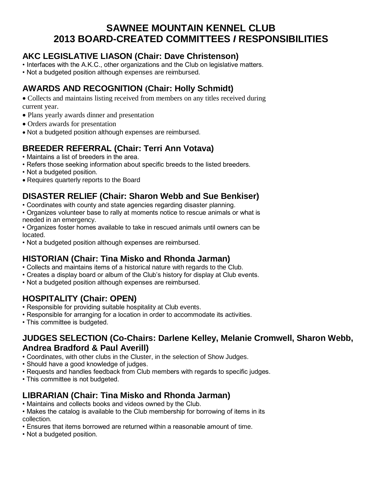## **SAWNEE MOUNTAIN KENNEL CLUB 2013 BOARD-CREATED COMMITTEES** *I* **RESPONSIBILITIES**

### **AKC LEGISLATIVE LIASON (Chair: Dave Christenson)**

- Interfaces with the A.K.C., other organizations and the Club on legislative matters.
- Not a budgeted position although expenses are reimbursed.

## **AWARDS AND RECOGNITION (Chair: Holly Schmidt)**

- Collects and maintains listing received from members on any titles received during current year.
- Plans yearly awards dinner and presentation
- Orders awards for presentation
- Not a budgeted position although expenses are reimbursed.

## **BREEDER REFERRAL (Chair: Terri Ann Votava)**

- Maintains a list of breeders in the area.
- Refers those seeking information about specific breeds to the listed breeders.
- Not a budgeted position.
- Requires quarterly reports to the Board

#### **DISASTER RELIEF (Chair: Sharon Webb and Sue Benkiser)**

- Coordinates with county and state agencies regarding disaster planning.
- Organizes volunteer base to rally at moments notice to rescue animals or what is needed in an emergency.
- Organizes foster homes available to take in rescued animals until owners can be located.
- Not a budgeted position although expenses are reimbursed.

#### **HISTORIAN (Chair: Tina Misko and Rhonda Jarman)**

- Collects and maintains items of a historical nature with regards to the Club.
- Creates a display board or album of the Club's history for display at Club events.
- Not a budgeted position although expenses are reimbursed.

#### **HOSPITALITY (Chair: OPEN)**

- Responsible for providing suitable hospitality at Club events.
- Responsible for arranging for a location in order to accommodate its activities.
- This committee is budgeted.

#### **JUDGES SELECTION (Co-Chairs: Darlene Kelley, Melanie Cromwell, Sharon Webb, Andrea Bradford & Paul Averill)**

- Coordinates, with other clubs in the Cluster, in the selection of Show Judges.
- Should have a good knowledge of judges.
- Requests and handles feedback from Club members with regards to specific judges.
- This committee is not budgeted.

## **LIBRARIAN (Chair: Tina Misko and Rhonda Jarman)**

- Maintains and collects books and videos owned by the Club.
- Makes the catalog is available to the Club membership for borrowing of items in its collection.
- Ensures that items borrowed are returned within a reasonable amount of time.
- Not a budgeted position.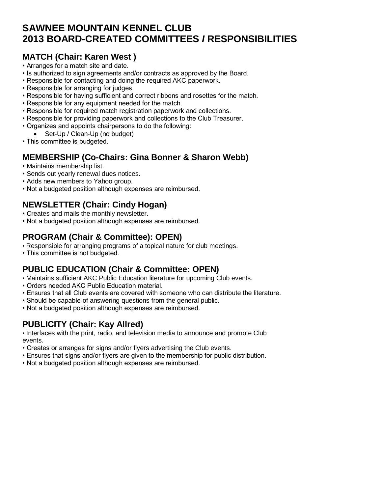## **SAWNEE MOUNTAIN KENNEL CLUB 2013 BOARD-CREATED COMMITTEES** *I* **RESPONSIBILITIES**

### **MATCH (Chair: Karen West )**

- Arranges for a match site and date.
- Is authorized to sign agreements and/or contracts as approved by the Board.
- Responsible for contacting and doing the required AKC paperwork.
- Responsible for arranging for judges.
- Responsible for having sufficient and correct ribbons and rosettes for the match.
- Responsible for any equipment needed for the match.
- Responsible for required match registration paperwork and collections.
- Responsible for providing paperwork and collections to the Club Treasurer.
- Organizes and appoints chairpersons to do the following:
- Set-Up / Clean-Up (no budget)
- This committee is budgeted.

### **MEMBERSHIP (Co-Chairs: Gina Bonner & Sharon Webb)**

- Maintains membership list.
- Sends out yearly renewal dues notices.
- Adds new members to Yahoo group.
- Not a budgeted position although expenses are reimbursed.

#### **NEWSLETTER (Chair: Cindy Hogan)**

- Creates and mails the monthly newsletter.
- Not a budgeted position although expenses are reimbursed.

#### **PROGRAM (Chair & Committee): OPEN)**

- Responsible for arranging programs of a topical nature for club meetings.
- This committee is not budgeted.

#### **PUBLIC EDUCATION (Chair & Committee: OPEN)**

- Maintains sufficient AKC Public Education literature for upcoming Club events.
- Orders needed AKC Public Education material.
- Ensures that all Club events are covered with someone who can distribute the literature.
- Should be capable of answering questions from the general public.
- Not a budgeted position although expenses are reimbursed.

## **PUBLICITY (Chair: Kay Allred)**

• Interfaces with the print, radio, and television media to announce and promote Club events.

- Creates or arranges for signs and/or flyers advertising the Club events.
- Ensures that signs and/or flyers are given to the membership for public distribution.
- Not a budgeted position although expenses are reimbursed.